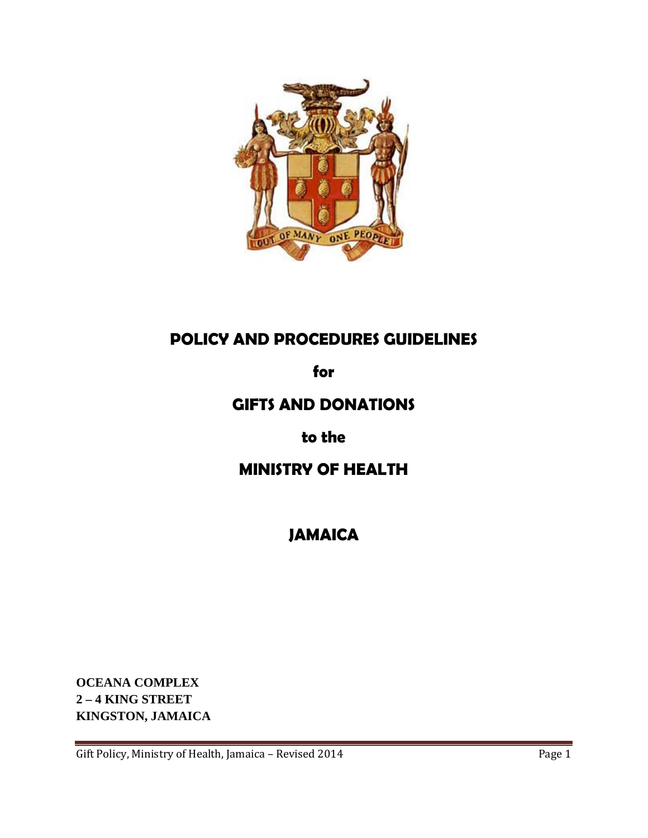

## **POLICY AND PROCEDURES GUIDELINES**

**for**

## **GIFTS AND DONATIONS**

**to the**

# **MINISTRY OF HEALTH**

**JAMAICA**

**OCEANA COMPLEX 2 – 4 KING STREET KINGSTON, JAMAICA**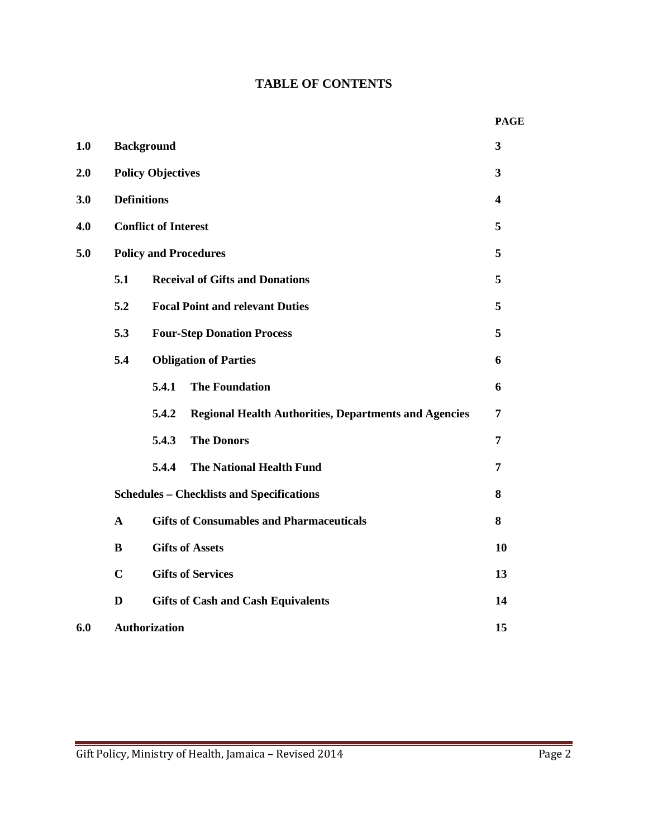## **TABLE OF CONTENTS**

|     |              |                                                                       | <b>PAGE</b>             |
|-----|--------------|-----------------------------------------------------------------------|-------------------------|
| 1.0 |              | <b>Background</b>                                                     | $\overline{\mathbf{3}}$ |
| 2.0 |              | <b>Policy Objectives</b>                                              | 3                       |
| 3.0 |              | <b>Definitions</b>                                                    | $\overline{\mathbf{4}}$ |
| 4.0 |              | <b>Conflict of Interest</b>                                           | 5                       |
| 5.0 |              | <b>Policy and Procedures</b>                                          | 5                       |
|     | 5.1          | <b>Receival of Gifts and Donations</b>                                | 5                       |
|     | 5.2          | <b>Focal Point and relevant Duties</b>                                | 5                       |
|     | 5.3          | <b>Four-Step Donation Process</b>                                     | 5                       |
|     | 5.4          | <b>Obligation of Parties</b>                                          | 6                       |
|     |              | <b>The Foundation</b><br>5.4.1                                        | 6                       |
|     |              | 5.4.2<br><b>Regional Health Authorities, Departments and Agencies</b> | 7                       |
|     |              | 5.4.3<br><b>The Donors</b>                                            | 7                       |
|     |              | 5.4.4<br><b>The National Health Fund</b>                              | 7                       |
|     |              | <b>Schedules - Checklists and Specifications</b>                      | 8                       |
|     | $\mathbf{A}$ | <b>Gifts of Consumables and Pharmaceuticals</b>                       | 8                       |
|     | B            | <b>Gifts of Assets</b>                                                | 10                      |
|     | $\mathbf C$  | <b>Gifts of Services</b>                                              | 13                      |
|     | $\mathbf{D}$ | <b>Gifts of Cash and Cash Equivalents</b>                             | 14                      |
| 6.0 |              | <b>Authorization</b>                                                  | 15                      |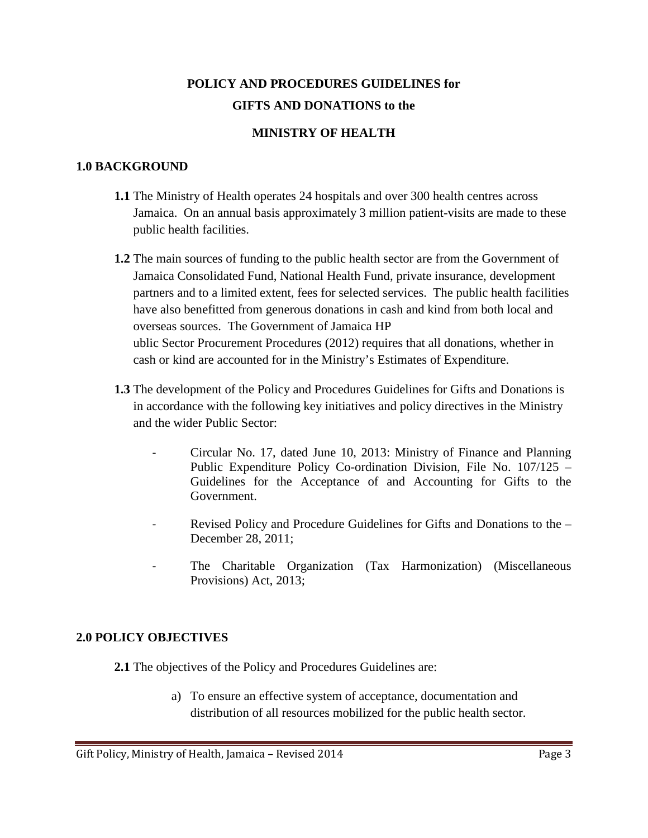## **POLICY AND PROCEDURES GUIDELINES for GIFTS AND DONATIONS to the**

## **MINISTRY OF HEALTH**

## **1.0 BACKGROUND**

- **1.1** The Ministry of Health operates 24 hospitals and over 300 health centres across Jamaica. On an annual basis approximately 3 million patient-visits are made to these public health facilities.
- **1.2** The main sources of funding to the public health sector are from the Government of Jamaica Consolidated Fund, National Health Fund, private insurance, development partners and to a limited extent, fees for selected services. The public health facilities have also benefitted from generous donations in cash and kind from both local and overseas sources. The Government of Jamaica HP ublic Sector Procurement Procedures (2012) requires that all donations, whether in cash or kind are accounted for in the Ministry's Estimates of Expenditure.
- **1.3** The development of the Policy and Procedures Guidelines for Gifts and Donations is in accordance with the following key initiatives and policy directives in the Ministry and the wider Public Sector:
	- Circular No. 17, dated June 10, 2013: Ministry of Finance and Planning Public Expenditure Policy Co-ordination Division, File No. 107/125 – Guidelines for the Acceptance of and Accounting for Gifts to the Government.
	- Revised Policy and Procedure Guidelines for Gifts and Donations to the December 28, 2011;
	- The Charitable Organization (Tax Harmonization) (Miscellaneous Provisions) Act, 2013;

## **2.0 POLICY OBJECTIVES**

**2.1** The objectives of the Policy and Procedures Guidelines are:

a) To ensure an effective system of acceptance, documentation and distribution of all resources mobilized for the public health sector.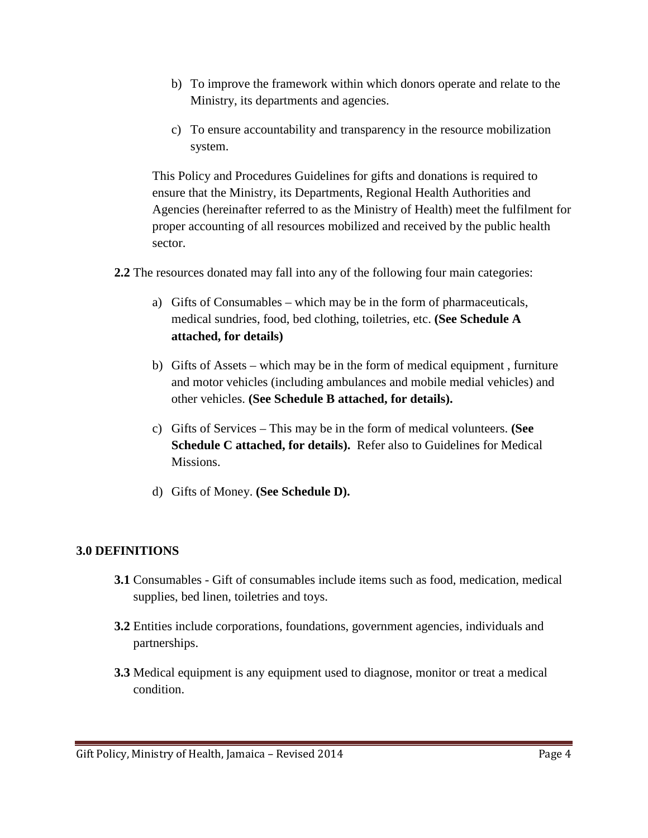- b) To improve the framework within which donors operate and relate to the Ministry, its departments and agencies.
- c) To ensure accountability and transparency in the resource mobilization system.

This Policy and Procedures Guidelines for gifts and donations is required to ensure that the Ministry, its Departments, Regional Health Authorities and Agencies (hereinafter referred to as the Ministry of Health) meet the fulfilment for proper accounting of all resources mobilized and received by the public health sector.

- **2.2** The resources donated may fall into any of the following four main categories:
	- a) Gifts of Consumables which may be in the form of pharmaceuticals, medical sundries, food, bed clothing, toiletries, etc. **(See Schedule A attached, for details)**
	- b) Gifts of Assets which may be in the form of medical equipment , furniture and motor vehicles (including ambulances and mobile medial vehicles) and other vehicles. **(See Schedule B attached, for details).**
	- c) Gifts of Services This may be in the form of medical volunteers. **(See Schedule C attached, for details).** Refer also to Guidelines for Medical Missions.
	- d) Gifts of Money. **(See Schedule D).**

## **3.0 DEFINITIONS**

- **3.1** Consumables Gift of consumables include items such as food, medication, medical supplies, bed linen, toiletries and toys.
- **3.2** Entities include corporations, foundations, government agencies, individuals and partnerships.
- **3.3** Medical equipment is any equipment used to diagnose, monitor or treat a medical condition.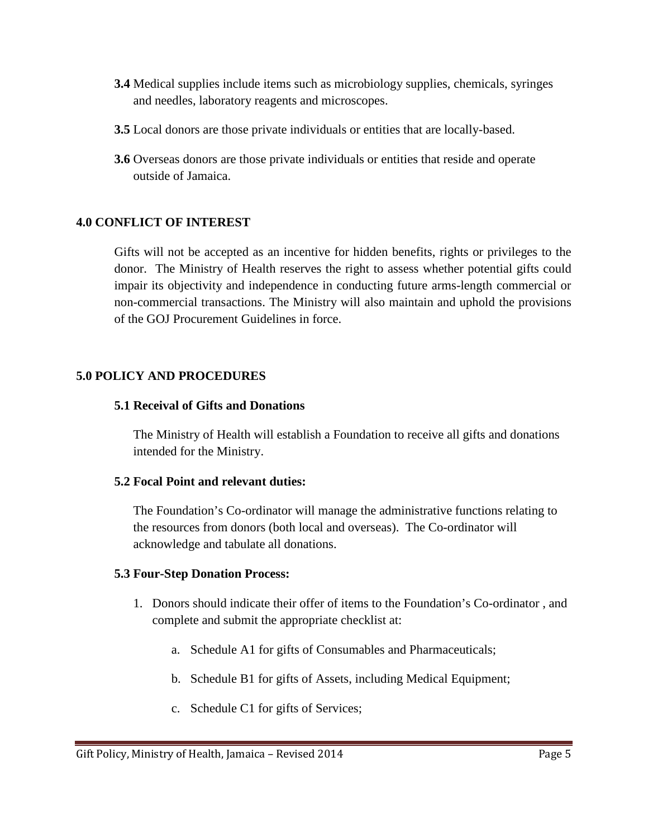- **3.4** Medical supplies include items such as microbiology supplies, chemicals, syringes and needles, laboratory reagents and microscopes.
- **3.5** Local donors are those private individuals or entities that are locally-based.
- **3.6** Overseas donors are those private individuals or entities that reside and operate outside of Jamaica.

## **4.0 CONFLICT OF INTEREST**

Gifts will not be accepted as an incentive for hidden benefits, rights or privileges to the donor. The Ministry of Health reserves the right to assess whether potential gifts could impair its objectivity and independence in conducting future arms-length commercial or non-commercial transactions. The Ministry will also maintain and uphold the provisions of the GOJ Procurement Guidelines in force.

## **5.0 POLICY AND PROCEDURES**

## **5.1 Receival of Gifts and Donations**

The Ministry of Health will establish a Foundation to receive all gifts and donations intended for the Ministry.

#### **5.2 Focal Point and relevant duties:**

The Foundation's Co-ordinator will manage the administrative functions relating to the resources from donors (both local and overseas). The Co-ordinator will acknowledge and tabulate all donations.

## **5.3 Four-Step Donation Process:**

- 1. Donors should indicate their offer of items to the Foundation's Co-ordinator , and complete and submit the appropriate checklist at:
	- a. Schedule A1 for gifts of Consumables and Pharmaceuticals;
	- b. Schedule B1 for gifts of Assets, including Medical Equipment;
	- c. Schedule C1 for gifts of Services;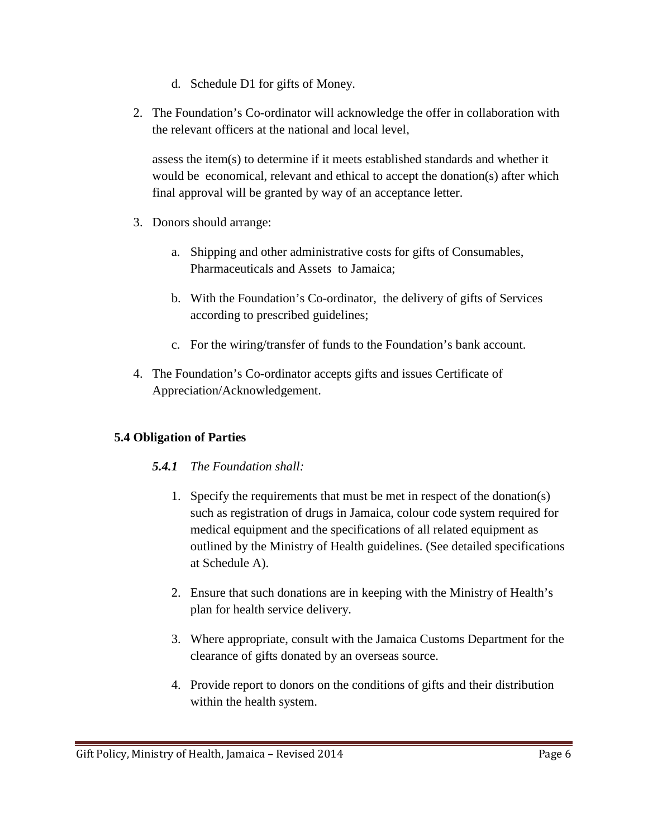- d. Schedule D1 for gifts of Money.
- 2. The Foundation's Co-ordinator will acknowledge the offer in collaboration with the relevant officers at the national and local level,

assess the item(s) to determine if it meets established standards and whether it would be economical, relevant and ethical to accept the donation(s) after which final approval will be granted by way of an acceptance letter.

- 3. Donors should arrange:
	- a. Shipping and other administrative costs for gifts of Consumables, Pharmaceuticals and Assets to Jamaica;
	- b. With the Foundation's Co-ordinator, the delivery of gifts of Services according to prescribed guidelines;
	- c. For the wiring/transfer of funds to the Foundation's bank account.
- 4. The Foundation's Co-ordinator accepts gifts and issues Certificate of Appreciation/Acknowledgement.

## **5.4 Obligation of Parties**

#### *5.4.1 The Foundation shall:*

- 1. Specify the requirements that must be met in respect of the donation(s) such as registration of drugs in Jamaica, colour code system required for medical equipment and the specifications of all related equipment as outlined by the Ministry of Health guidelines. (See detailed specifications at Schedule A).
- 2. Ensure that such donations are in keeping with the Ministry of Health's plan for health service delivery.
- 3. Where appropriate, consult with the Jamaica Customs Department for the clearance of gifts donated by an overseas source.
- 4. Provide report to donors on the conditions of gifts and their distribution within the health system.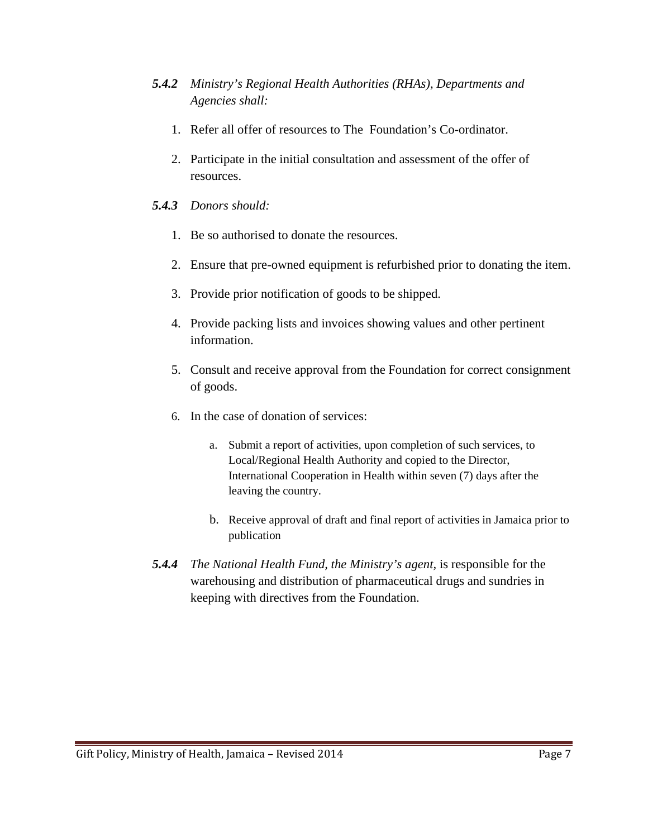- *5.4.2 Ministry's Regional Health Authorities (RHAs), Departments and Agencies shall:*
	- 1. Refer all offer of resources to The Foundation's Co-ordinator.
	- 2. Participate in the initial consultation and assessment of the offer of resources.

## *5.4.3 Donors should:*

- 1. Be so authorised to donate the resources.
- 2. Ensure that pre-owned equipment is refurbished prior to donating the item.
- 3. Provide prior notification of goods to be shipped.
- 4. Provide packing lists and invoices showing values and other pertinent information.
- 5. Consult and receive approval from the Foundation for correct consignment of goods.
- 6. In the case of donation of services:
	- a. Submit a report of activities, upon completion of such services, to Local/Regional Health Authority and copied to the Director, International Cooperation in Health within seven (7) days after the leaving the country.
	- b. Receive approval of draft and final report of activities in Jamaica prior to publication
- *5.4.4 The National Health Fund, the Ministry's agent,* is responsible for the warehousing and distribution of pharmaceutical drugs and sundries in keeping with directives from the Foundation.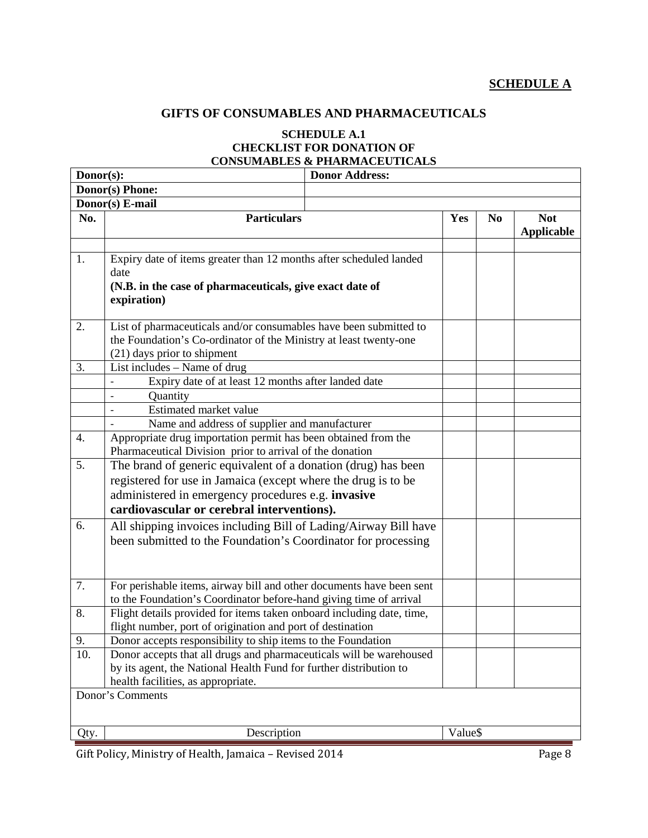## **GIFTS OF CONSUMABLES AND PHARMACEUTICALS**

#### **SCHEDULE A.1 CHECKLIST FOR DONATION OF CONSUMABLES & PHARMACEUTICALS**

| Donor(s): |                                                                                                                                                                                 | <b>Donor Address:</b> |         |                |                                 |  |  |  |
|-----------|---------------------------------------------------------------------------------------------------------------------------------------------------------------------------------|-----------------------|---------|----------------|---------------------------------|--|--|--|
|           | Donor(s) Phone:                                                                                                                                                                 |                       |         |                |                                 |  |  |  |
|           | Donor(s) E-mail                                                                                                                                                                 |                       |         |                |                                 |  |  |  |
| No.       | <b>Particulars</b>                                                                                                                                                              |                       | Yes     | N <sub>0</sub> | <b>Not</b><br><b>Applicable</b> |  |  |  |
| 1.        | Expiry date of items greater than 12 months after scheduled landed<br>date<br>(N.B. in the case of pharmaceuticals, give exact date of<br>expiration)                           |                       |         |                |                                 |  |  |  |
| 2.        | List of pharmaceuticals and/or consumables have been submitted to<br>the Foundation's Co-ordinator of the Ministry at least twenty-one<br>(21) days prior to shipment           |                       |         |                |                                 |  |  |  |
| 3.        | List includes – Name of drug                                                                                                                                                    |                       |         |                |                                 |  |  |  |
|           | Expiry date of at least 12 months after landed date                                                                                                                             |                       |         |                |                                 |  |  |  |
|           | Quantity                                                                                                                                                                        |                       |         |                |                                 |  |  |  |
|           | Estimated market value                                                                                                                                                          |                       |         |                |                                 |  |  |  |
|           | Name and address of supplier and manufacturer                                                                                                                                   |                       |         |                |                                 |  |  |  |
| 4.        | Appropriate drug importation permit has been obtained from the<br>Pharmaceutical Division prior to arrival of the donation                                                      |                       |         |                |                                 |  |  |  |
| 5.        | The brand of generic equivalent of a donation (drug) has been                                                                                                                   |                       |         |                |                                 |  |  |  |
|           | registered for use in Jamaica (except where the drug is to be                                                                                                                   |                       |         |                |                                 |  |  |  |
|           | administered in emergency procedures e.g. invasive                                                                                                                              |                       |         |                |                                 |  |  |  |
|           | cardiovascular or cerebral interventions).                                                                                                                                      |                       |         |                |                                 |  |  |  |
| 6.        | All shipping invoices including Bill of Lading/Airway Bill have<br>been submitted to the Foundation's Coordinator for processing                                                |                       |         |                |                                 |  |  |  |
| 7.        | For perishable items, airway bill and other documents have been sent<br>to the Foundation's Coordinator before-hand giving time of arrival                                      |                       |         |                |                                 |  |  |  |
| 8.        | Flight details provided for items taken onboard including date, time,<br>flight number, port of origination and port of destination                                             |                       |         |                |                                 |  |  |  |
| 9.        | Donor accepts responsibility to ship items to the Foundation                                                                                                                    |                       |         |                |                                 |  |  |  |
| 10.       | Donor accepts that all drugs and pharmaceuticals will be warehoused<br>by its agent, the National Health Fund for further distribution to<br>health facilities, as appropriate. |                       |         |                |                                 |  |  |  |
|           | Donor's Comments                                                                                                                                                                |                       |         |                |                                 |  |  |  |
|           |                                                                                                                                                                                 |                       |         |                |                                 |  |  |  |
| Qty.      | Description                                                                                                                                                                     |                       | Value\$ |                |                                 |  |  |  |

Gift Policy, Ministry of Health, Jamaica - Revised 2014 Page 8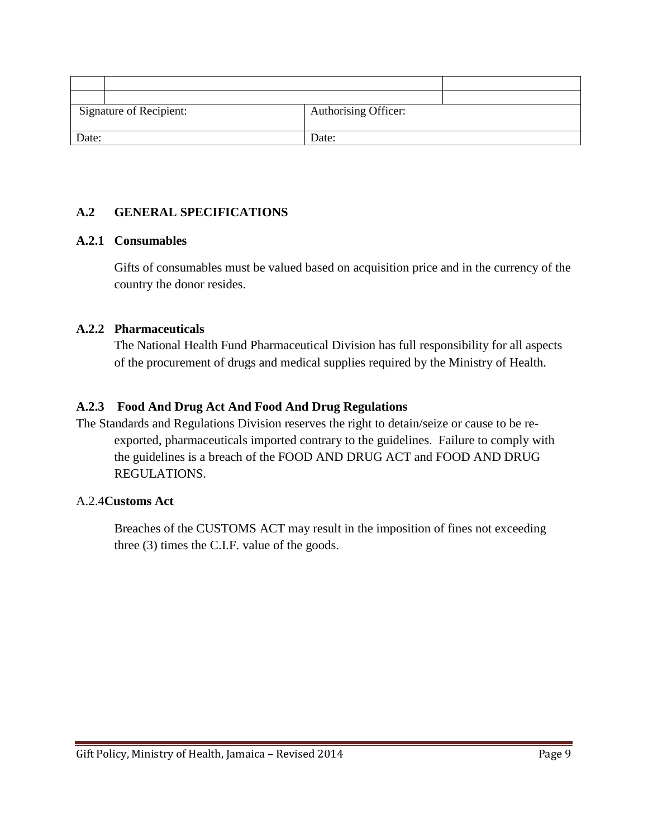| <b>Signature of Recipient:</b> | Authorising Officer: |
|--------------------------------|----------------------|
| Date:                          | Date:                |

## **A.2 GENERAL SPECIFICATIONS**

## **A.2.1 Consumables**

Gifts of consumables must be valued based on acquisition price and in the currency of the country the donor resides.

## **A.2.2 Pharmaceuticals**

The National Health Fund Pharmaceutical Division has full responsibility for all aspects of the procurement of drugs and medical supplies required by the Ministry of Health.

## **A.2.3 Food And Drug Act And Food And Drug Regulations**

The Standards and Regulations Division reserves the right to detain/seize or cause to be reexported, pharmaceuticals imported contrary to the guidelines. Failure to comply with the guidelines is a breach of the FOOD AND DRUG ACT and FOOD AND DRUG REGULATIONS.

#### A.2.4**Customs Act**

Breaches of the CUSTOMS ACT may result in the imposition of fines not exceeding three (3) times the C.I.F. value of the goods.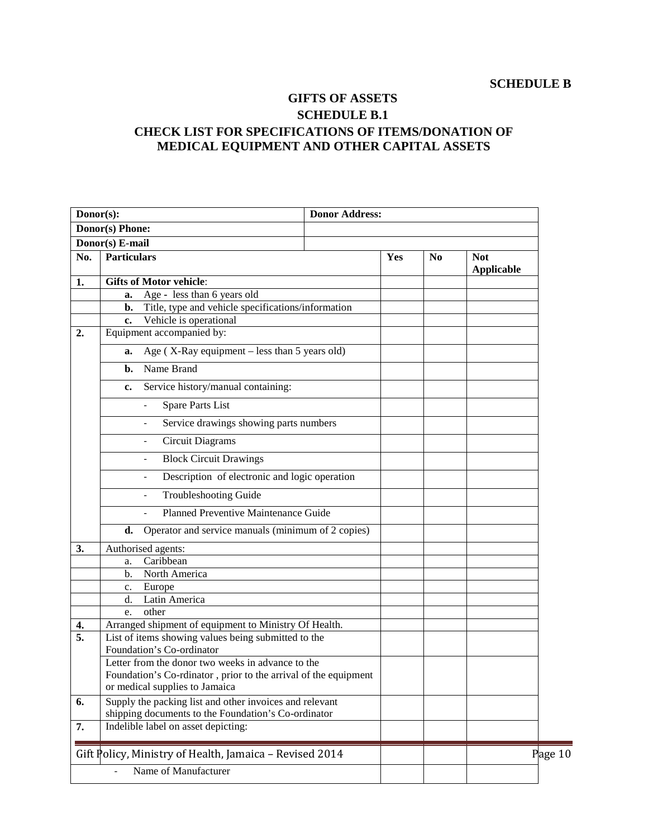## **GIFTS OF ASSETS SCHEDULE B.1 CHECK LIST FOR SPECIFICATIONS OF ITEMS/DONATION OF MEDICAL EQUIPMENT AND OTHER CAPITAL ASSETS**

|                  | Donor(s):<br><b>Donor Address:</b>                                                                             |  |     |                |                                 |         |
|------------------|----------------------------------------------------------------------------------------------------------------|--|-----|----------------|---------------------------------|---------|
|                  | Donor(s) Phone:                                                                                                |  |     |                |                                 |         |
|                  | Donor(s) E-mail                                                                                                |  |     |                |                                 |         |
| No.              | <b>Particulars</b>                                                                                             |  | Yes | N <sub>0</sub> | <b>Not</b><br><b>Applicable</b> |         |
| 1.               | <b>Gifts of Motor vehicle:</b>                                                                                 |  |     |                |                                 |         |
|                  | Age - less than 6 years old<br>a.                                                                              |  |     |                |                                 |         |
|                  | Title, type and vehicle specifications/information<br>b.<br>Vehicle is operational                             |  |     |                |                                 |         |
| 2.               | $c_{\cdot}$<br>Equipment accompanied by:                                                                       |  |     |                |                                 |         |
|                  |                                                                                                                |  |     |                |                                 |         |
|                  | Age ( $X$ -Ray equipment – less than 5 years old)<br>a.                                                        |  |     |                |                                 |         |
|                  | Name Brand<br>b.                                                                                               |  |     |                |                                 |         |
|                  | Service history/manual containing:<br>c.                                                                       |  |     |                |                                 |         |
|                  | <b>Spare Parts List</b><br>$\overline{\phantom{0}}$                                                            |  |     |                |                                 |         |
|                  | Service drawings showing parts numbers                                                                         |  |     |                |                                 |         |
|                  | <b>Circuit Diagrams</b><br>$\overline{\phantom{a}}$                                                            |  |     |                |                                 |         |
|                  | <b>Block Circuit Drawings</b><br>$\overline{\phantom{a}}$                                                      |  |     |                |                                 |         |
|                  | Description of electronic and logic operation<br>$\qquad \qquad -$                                             |  |     |                |                                 |         |
|                  | <b>Troubleshooting Guide</b>                                                                                   |  |     |                |                                 |         |
|                  | <b>Planned Preventive Maintenance Guide</b>                                                                    |  |     |                |                                 |         |
|                  | Operator and service manuals (minimum of 2 copies)<br>d.                                                       |  |     |                |                                 |         |
| 3.               | Authorised agents:                                                                                             |  |     |                |                                 |         |
|                  | Caribbean<br>a.                                                                                                |  |     |                |                                 |         |
|                  | North America<br>$\mathbf{b}$ .                                                                                |  |     |                |                                 |         |
|                  | Europe<br>c.                                                                                                   |  |     |                |                                 |         |
|                  | Latin America<br>d.<br>other<br>e.                                                                             |  |     |                |                                 |         |
| 4.               | Arranged shipment of equipment to Ministry Of Health.                                                          |  |     |                |                                 |         |
| $\overline{5}$ . | List of items showing values being submitted to the                                                            |  |     |                |                                 |         |
|                  | Foundation's Co-ordinator                                                                                      |  |     |                |                                 |         |
|                  | Letter from the donor two weeks in advance to the                                                              |  |     |                |                                 |         |
|                  | Foundation's Co-rdinator, prior to the arrival of the equipment                                                |  |     |                |                                 |         |
|                  | or medical supplies to Jamaica                                                                                 |  |     |                |                                 |         |
| 6.               | Supply the packing list and other invoices and relevant<br>shipping documents to the Foundation's Co-ordinator |  |     |                |                                 |         |
| 7.               | Indelible label on asset depicting:                                                                            |  |     |                |                                 |         |
|                  |                                                                                                                |  |     |                |                                 |         |
|                  | Gift Policy, Ministry of Health, Jamaica - Revised 2014                                                        |  |     |                |                                 | Page 10 |
|                  | Name of Manufacturer                                                                                           |  |     |                |                                 |         |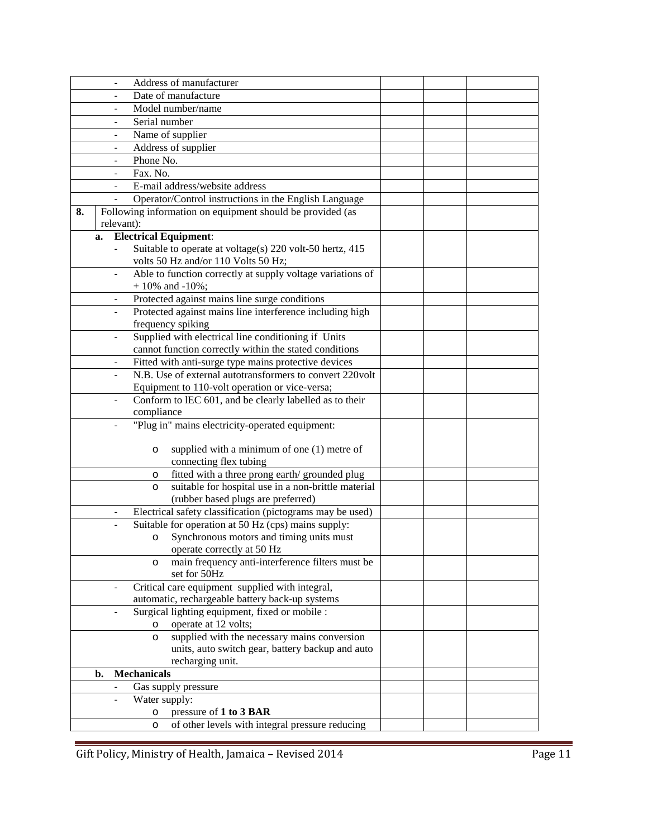|    |                              |                              | Address of manufacturer                                    |  |  |
|----|------------------------------|------------------------------|------------------------------------------------------------|--|--|
|    |                              |                              | Date of manufacture                                        |  |  |
|    |                              |                              | Model number/name                                          |  |  |
|    |                              | Serial number                |                                                            |  |  |
|    | $\overline{a}$               |                              | Name of supplier                                           |  |  |
|    | $\overline{\phantom{0}}$     |                              | Address of supplier                                        |  |  |
|    | $\overline{\phantom{a}}$     | Phone No.                    |                                                            |  |  |
|    | $\overline{\phantom{a}}$     | Fax. No.                     |                                                            |  |  |
|    | $\overline{\phantom{a}}$     |                              | E-mail address/website address                             |  |  |
|    | $\overline{\phantom{a}}$     |                              | Operator/Control instructions in the English Language      |  |  |
| 8. |                              |                              | Following information on equipment should be provided (as  |  |  |
|    |                              | relevant):                   |                                                            |  |  |
|    | a.                           | <b>Electrical Equipment:</b> |                                                            |  |  |
|    |                              |                              | Suitable to operate at voltage(s) 220 volt-50 hertz, 415   |  |  |
|    |                              |                              | volts 50 Hz and/or 110 Volts 50 Hz;                        |  |  |
|    | $\qquad \qquad \blacksquare$ |                              | Able to function correctly at supply voltage variations of |  |  |
|    |                              |                              | $+10\%$ and $-10\%$ ;                                      |  |  |
|    | $\qquad \qquad -$            |                              | Protected against mains line surge conditions              |  |  |
|    |                              |                              | Protected against mains line interference including high   |  |  |
|    |                              |                              | frequency spiking                                          |  |  |
|    | $\qquad \qquad \blacksquare$ |                              | Supplied with electrical line conditioning if Units        |  |  |
|    |                              |                              | cannot function correctly within the stated conditions     |  |  |
|    |                              |                              | Fitted with anti-surge type mains protective devices       |  |  |
|    |                              |                              | N.B. Use of external autotransformers to convert 220volt   |  |  |
|    |                              |                              | Equipment to 110-volt operation or vice-versa;             |  |  |
|    |                              |                              | Conform to IEC 601, and be clearly labelled as to their    |  |  |
|    |                              | compliance                   |                                                            |  |  |
|    |                              |                              | "Plug in" mains electricity-operated equipment:            |  |  |
|    |                              |                              |                                                            |  |  |
|    |                              | $\circ$                      | supplied with a minimum of one $(1)$ metre of              |  |  |
|    |                              |                              | connecting flex tubing                                     |  |  |
|    |                              | $\circ$                      | fitted with a three prong earth/grounded plug              |  |  |
|    |                              | $\circ$                      | suitable for hospital use in a non-brittle material        |  |  |
|    |                              |                              | (rubber based plugs are preferred)                         |  |  |
|    |                              |                              | Electrical safety classification (pictograms may be used)  |  |  |
|    |                              |                              | Suitable for operation at 50 Hz (cps) mains supply:        |  |  |
|    |                              | $\circ$                      | Synchronous motors and timing units must                   |  |  |
|    |                              |                              | operate correctly at 50 Hz                                 |  |  |
|    |                              | $\circ$                      | main frequency anti-interference filters must be           |  |  |
|    |                              |                              | set for 50Hz                                               |  |  |
|    |                              |                              | Critical care equipment supplied with integral,            |  |  |
|    |                              |                              | automatic, rechargeable battery back-up systems            |  |  |
|    |                              |                              | Surgical lighting equipment, fixed or mobile :             |  |  |
|    |                              | $\circ$                      | operate at 12 volts;                                       |  |  |
|    |                              | $\circ$                      | supplied with the necessary mains conversion               |  |  |
|    |                              |                              | units, auto switch gear, battery backup and auto           |  |  |
|    |                              |                              | recharging unit.                                           |  |  |
|    | b.                           | <b>Mechanicals</b>           |                                                            |  |  |
|    | $\qquad \qquad -$            |                              | Gas supply pressure                                        |  |  |
|    | $\overline{a}$               | Water supply:                |                                                            |  |  |
|    |                              | $\circ$                      | pressure of 1 to 3 BAR                                     |  |  |
|    |                              | $\circ$                      | of other levels with integral pressure reducing            |  |  |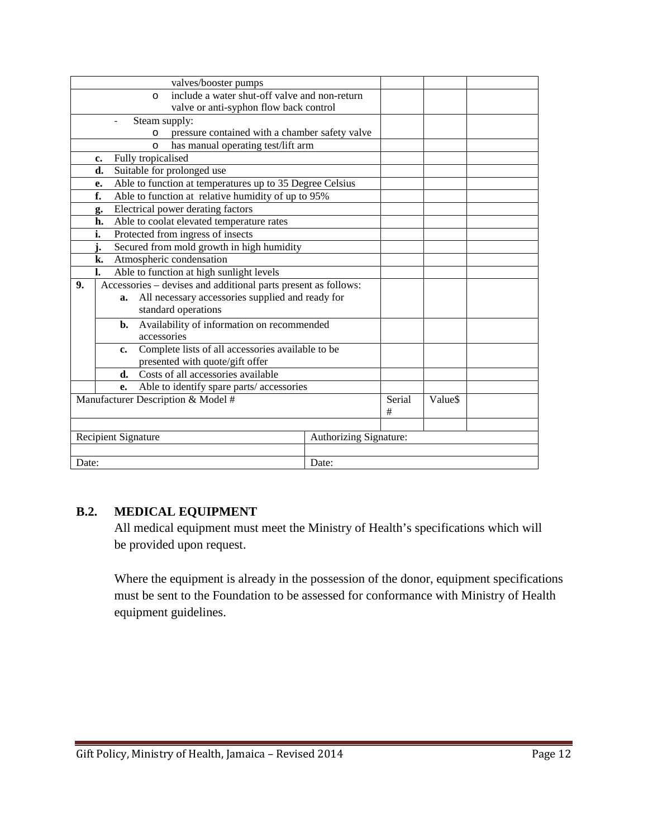| valves/booster pumps                                                 |                        |        |         |  |
|----------------------------------------------------------------------|------------------------|--------|---------|--|
| include a water shut-off valve and non-return<br>$\circ$             |                        |        |         |  |
| valve or anti-syphon flow back control                               |                        |        |         |  |
| Steam supply:                                                        |                        |        |         |  |
| pressure contained with a chamber safety valve<br>$\circ$            |                        |        |         |  |
| has manual operating test/lift arm<br>$\circ$                        |                        |        |         |  |
| Fully tropicalised<br>c.                                             |                        |        |         |  |
| Suitable for prolonged use<br>d.                                     |                        |        |         |  |
| Able to function at temperatures up to 35 Degree Celsius<br>e.       |                        |        |         |  |
| f.<br>Able to function at relative humidity of up to 95%             |                        |        |         |  |
| Electrical power derating factors<br>g.                              |                        |        |         |  |
| Able to coolat elevated temperature rates<br>h.                      |                        |        |         |  |
| Protected from ingress of insects<br>i.                              |                        |        |         |  |
| j.<br>Secured from mold growth in high humidity                      |                        |        |         |  |
| Atmospheric condensation<br>k.                                       |                        |        |         |  |
| Able to function at high sunlight levels<br>l.                       |                        |        |         |  |
| Accessories - devises and additional parts present as follows:<br>9. |                        |        |         |  |
| All necessary accessories supplied and ready for<br>a.               |                        |        |         |  |
| standard operations                                                  |                        |        |         |  |
| Availability of information on recommended<br>b.                     |                        |        |         |  |
| accessories                                                          |                        |        |         |  |
| Complete lists of all accessories available to be<br>c.              |                        |        |         |  |
| presented with quote/gift offer                                      |                        |        |         |  |
| Costs of all accessories available<br>d.                             |                        |        |         |  |
| Able to identify spare parts/accessories<br>e.                       |                        |        |         |  |
| Manufacturer Description & Model #                                   |                        | Serial | Value\$ |  |
|                                                                      |                        | $\#$   |         |  |
|                                                                      |                        |        |         |  |
| Recipient Signature                                                  | Authorizing Signature: |        |         |  |
|                                                                      |                        |        |         |  |
| Date:                                                                | Date:                  |        |         |  |

#### **B.2. MEDICAL EQUIPMENT**

All medical equipment must meet the Ministry of Health's specifications which will be provided upon request.

Where the equipment is already in the possession of the donor, equipment specifications must be sent to the Foundation to be assessed for conformance with Ministry of Health equipment guidelines.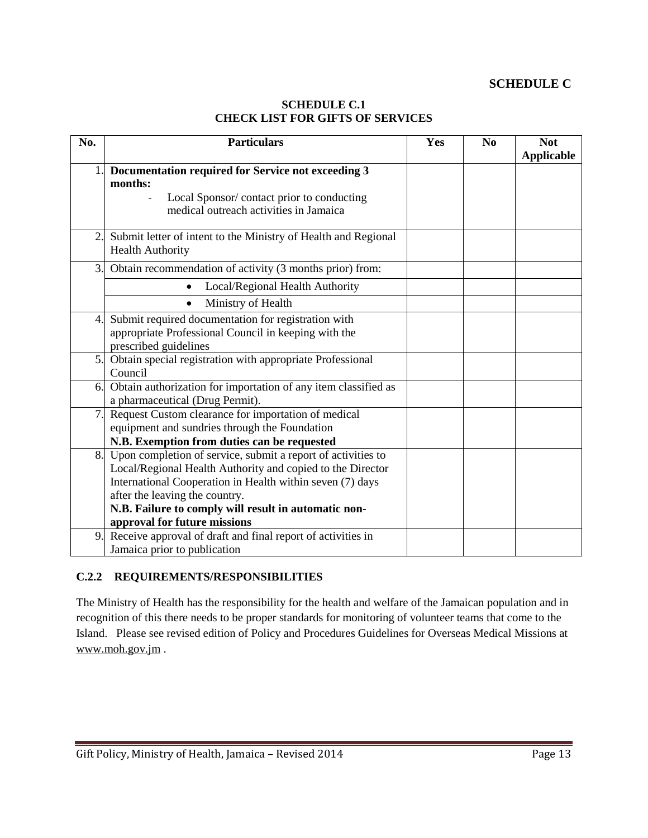#### **SCHEDULE C**

#### **SCHEDULE C.1 CHECK LIST FOR GIFTS OF SERVICES**

| No. | <b>Particulars</b>                                                                                                                                                                                                                                                                                                | Yes | N <sub>0</sub> | <b>Not</b><br><b>Applicable</b> |
|-----|-------------------------------------------------------------------------------------------------------------------------------------------------------------------------------------------------------------------------------------------------------------------------------------------------------------------|-----|----------------|---------------------------------|
| 1.  | Documentation required for Service not exceeding 3<br>months:<br>Local Sponsor/contact prior to conducting<br>medical outreach activities in Jamaica                                                                                                                                                              |     |                |                                 |
| 2.  | Submit letter of intent to the Ministry of Health and Regional<br><b>Health Authority</b>                                                                                                                                                                                                                         |     |                |                                 |
| 3.  | Obtain recommendation of activity (3 months prior) from:                                                                                                                                                                                                                                                          |     |                |                                 |
|     | Local/Regional Health Authority                                                                                                                                                                                                                                                                                   |     |                |                                 |
|     | Ministry of Health<br>$\bullet$                                                                                                                                                                                                                                                                                   |     |                |                                 |
| 4.  | Submit required documentation for registration with<br>appropriate Professional Council in keeping with the<br>prescribed guidelines                                                                                                                                                                              |     |                |                                 |
| 5.  | Obtain special registration with appropriate Professional<br>Council                                                                                                                                                                                                                                              |     |                |                                 |
| 6.  | Obtain authorization for importation of any item classified as<br>a pharmaceutical (Drug Permit).                                                                                                                                                                                                                 |     |                |                                 |
| 7.  | Request Custom clearance for importation of medical<br>equipment and sundries through the Foundation<br>N.B. Exemption from duties can be requested                                                                                                                                                               |     |                |                                 |
| 8.  | Upon completion of service, submit a report of activities to<br>Local/Regional Health Authority and copied to the Director<br>International Cooperation in Health within seven (7) days<br>after the leaving the country.<br>N.B. Failure to comply will result in automatic non-<br>approval for future missions |     |                |                                 |
| 9.  | Receive approval of draft and final report of activities in<br>Jamaica prior to publication                                                                                                                                                                                                                       |     |                |                                 |

#### **C.2.2 REQUIREMENTS/RESPONSIBILITIES**

The Ministry of Health has the responsibility for the health and welfare of the Jamaican population and in recognition of this there needs to be proper standards for monitoring of volunteer teams that come to the Island. Please see revised edition of Policy and Procedures Guidelines for Overseas Medical Missions at [www.moh.gov.jm](http://www.moh.gov.jm/) .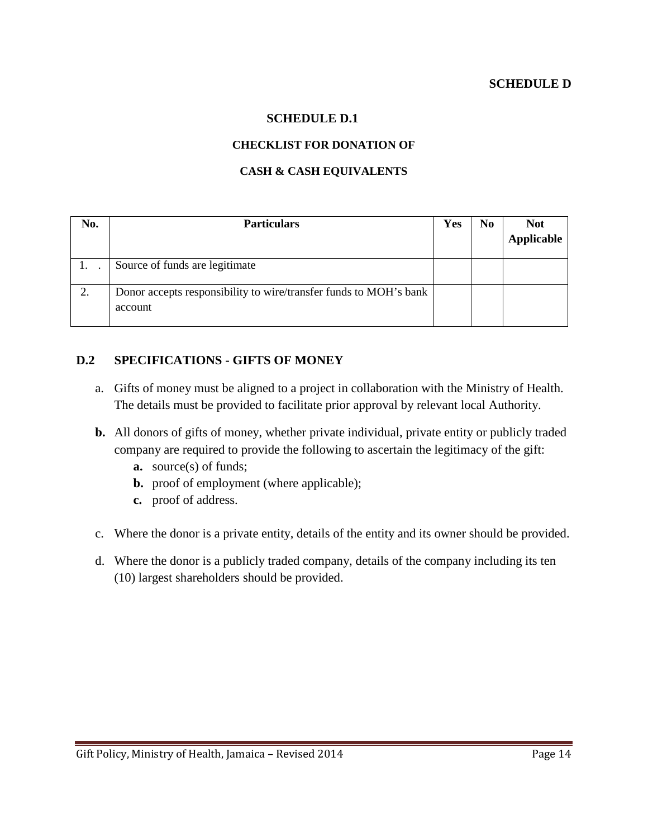#### **SCHEDULE D.1**

#### **CHECKLIST FOR DONATION OF**

#### **CASH & CASH EQUIVALENTS**

| No. | <b>Particulars</b>                                                           | Yes | No | <b>Not</b> |
|-----|------------------------------------------------------------------------------|-----|----|------------|
|     |                                                                              |     |    | Applicable |
|     | Source of funds are legitimate                                               |     |    |            |
|     | Donor accepts responsibility to wire/transfer funds to MOH's bank<br>account |     |    |            |

## **D.2 SPECIFICATIONS - GIFTS OF MONEY**

- a. Gifts of money must be aligned to a project in collaboration with the Ministry of Health. The details must be provided to facilitate prior approval by relevant local Authority.
- **b.** All donors of gifts of money, whether private individual, private entity or publicly traded company are required to provide the following to ascertain the legitimacy of the gift:
	- **a.** source(s) of funds;
	- **b.** proof of employment (where applicable);
	- **c.** proof of address.
- c. Where the donor is a private entity, details of the entity and its owner should be provided.
- d. Where the donor is a publicly traded company, details of the company including its ten (10) largest shareholders should be provided.